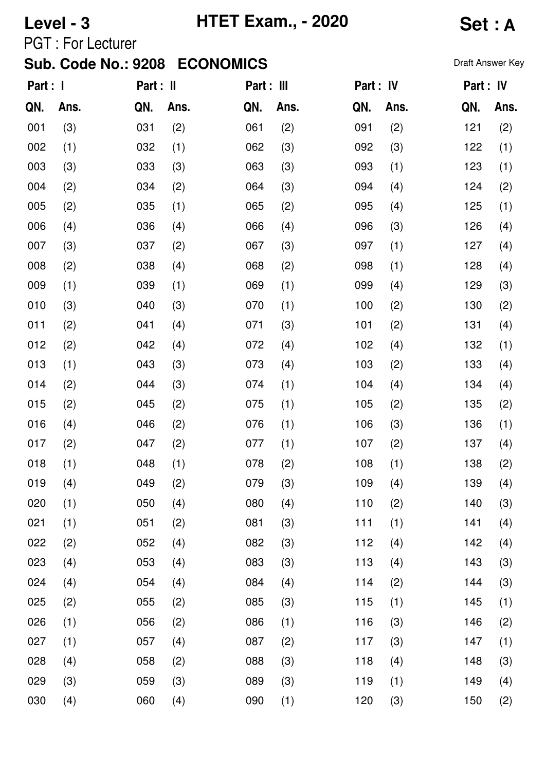# **Level - 3 HTET Exam., - 2020 Set : A**

PGT : For Lecturer

| Part : I |      | Part : II |      | Part : III |      | Part : IV |      | Part : IV |      |
|----------|------|-----------|------|------------|------|-----------|------|-----------|------|
| QN.      | Ans. | QN.       | Ans. | QN.        | Ans. | QN.       | Ans. | QN.       | Ans. |
| 001      | (3)  | 031       | (2)  | 061        | (2)  | 091       | (2)  | 121       | (2)  |
| 002      | (1)  | 032       | (1)  | 062        | (3)  | 092       | (3)  | 122       | (1)  |
| 003      | (3)  | 033       | (3)  | 063        | (3)  | 093       | (1)  | 123       | (1)  |
| 004      | (2)  | 034       | (2)  | 064        | (3)  | 094       | (4)  | 124       | (2)  |
| 005      | (2)  | 035       | (1)  | 065        | (2)  | 095       | (4)  | 125       | (1)  |
| 006      | (4)  | 036       | (4)  | 066        | (4)  | 096       | (3)  | 126       | (4)  |
| 007      | (3)  | 037       | (2)  | 067        | (3)  | 097       | (1)  | 127       | (4)  |
| 008      | (2)  | 038       | (4)  | 068        | (2)  | 098       | (1)  | 128       | (4)  |
| 009      | (1)  | 039       | (1)  | 069        | (1)  | 099       | (4)  | 129       | (3)  |
| 010      | (3)  | 040       | (3)  | 070        | (1)  | 100       | (2)  | 130       | (2)  |
| 011      | (2)  | 041       | (4)  | 071        | (3)  | 101       | (2)  | 131       | (4)  |
| 012      | (2)  | 042       | (4)  | 072        | (4)  | 102       | (4)  | 132       | (1)  |
| 013      | (1)  | 043       | (3)  | 073        | (4)  | 103       | (2)  | 133       | (4)  |
| 014      | (2)  | 044       | (3)  | 074        | (1)  | 104       | (4)  | 134       | (4)  |
| 015      | (2)  | 045       | (2)  | 075        | (1)  | 105       | (2)  | 135       | (2)  |
| 016      | (4)  | 046       | (2)  | 076        | (1)  | 106       | (3)  | 136       | (1)  |
| 017      | (2)  | 047       | (2)  | 077        | (1)  | 107       | (2)  | 137       | (4)  |
| 018      | (1)  | 048       | (1)  | 078        | (2)  | 108       | (1)  | 138       | (2)  |
| 019      | (4)  | 049       | (2)  | 079        | (3)  | 109       | (4)  | 139       | (4)  |
| 020      | (1)  | 050       | (4)  | 080        | (4)  | 110       | (2)  | 140       | (3)  |
| 021      | (1)  | 051       | (2)  | 081        | (3)  | 111       | (1)  | 141       | (4)  |
| 022      | (2)  | 052       | (4)  | 082        | (3)  | 112       | (4)  | 142       | (4)  |
| 023      | (4)  | 053       | (4)  | 083        | (3)  | 113       | (4)  | 143       | (3)  |
| 024      | (4)  | 054       | (4)  | 084        | (4)  | 114       | (2)  | 144       | (3)  |
| 025      | (2)  | 055       | (2)  | 085        | (3)  | 115       | (1)  | 145       | (1)  |
| 026      | (1)  | 056       | (2)  | 086        | (1)  | 116       | (3)  | 146       | (2)  |
| 027      | (1)  | 057       | (4)  | 087        | (2)  | 117       | (3)  | 147       | (1)  |
| 028      | (4)  | 058       | (2)  | 088        | (3)  | 118       | (4)  | 148       | (3)  |
| 029      | (3)  | 059       | (3)  | 089        | (3)  | 119       | (1)  | 149       | (4)  |
| 030      | (4)  | 060       | (4)  | 090        | (1)  | 120       | (3)  | 150       | (2)  |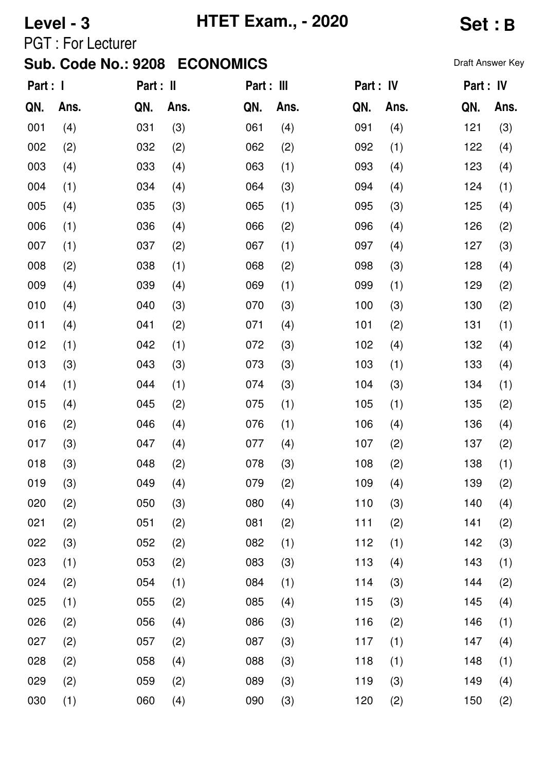# **Level - 3 HTET Exam., - 2020 Set : B**

PGT : For Lecturer

| Part : I |      | Part : II |      | Part : III |      | Part : IV |      | Part: IV |      |
|----------|------|-----------|------|------------|------|-----------|------|----------|------|
| QN.      | Ans. | QN.       | Ans. | QN.        | Ans. | QN.       | Ans. | QN.      | Ans. |
| 001      | (4)  | 031       | (3)  | 061        | (4)  | 091       | (4)  | 121      | (3)  |
| 002      | (2)  | 032       | (2)  | 062        | (2)  | 092       | (1)  | 122      | (4)  |
| 003      | (4)  | 033       | (4)  | 063        | (1)  | 093       | (4)  | 123      | (4)  |
| 004      | (1)  | 034       | (4)  | 064        | (3)  | 094       | (4)  | 124      | (1)  |
| 005      | (4)  | 035       | (3)  | 065        | (1)  | 095       | (3)  | 125      | (4)  |
| 006      | (1)  | 036       | (4)  | 066        | (2)  | 096       | (4)  | 126      | (2)  |
| 007      | (1)  | 037       | (2)  | 067        | (1)  | 097       | (4)  | 127      | (3)  |
| 008      | (2)  | 038       | (1)  | 068        | (2)  | 098       | (3)  | 128      | (4)  |
| 009      | (4)  | 039       | (4)  | 069        | (1)  | 099       | (1)  | 129      | (2)  |
| 010      | (4)  | 040       | (3)  | 070        | (3)  | 100       | (3)  | 130      | (2)  |
| 011      | (4)  | 041       | (2)  | 071        | (4)  | 101       | (2)  | 131      | (1)  |
| 012      | (1)  | 042       | (1)  | 072        | (3)  | 102       | (4)  | 132      | (4)  |
| 013      | (3)  | 043       | (3)  | 073        | (3)  | 103       | (1)  | 133      | (4)  |
| 014      | (1)  | 044       | (1)  | 074        | (3)  | 104       | (3)  | 134      | (1)  |
| 015      | (4)  | 045       | (2)  | 075        | (1)  | 105       | (1)  | 135      | (2)  |
| 016      | (2)  | 046       | (4)  | 076        | (1)  | 106       | (4)  | 136      | (4)  |
| 017      | (3)  | 047       | (4)  | 077        | (4)  | 107       | (2)  | 137      | (2)  |
| 018      | (3)  | 048       | (2)  | 078        | (3)  | 108       | (2)  | 138      | (1)  |
| 019      | (3)  | 049       | (4)  | 079        | (2)  | 109       | (4)  | 139      | (2)  |
| 020      | (2)  | 050       | (3)  | 080        | (4)  | 110       | (3)  | 140      | (4)  |
| 021      | (2)  | 051       | (2)  | 081        | (2)  | 111       | (2)  | 141      | (2)  |
| 022      | (3)  | 052       | (2)  | 082        | (1)  | 112       | (1)  | 142      | (3)  |
| 023      | (1)  | 053       | (2)  | 083        | (3)  | 113       | (4)  | 143      | (1)  |
| 024      | (2)  | 054       | (1)  | 084        | (1)  | 114       | (3)  | 144      | (2)  |
| 025      | (1)  | 055       | (2)  | 085        | (4)  | 115       | (3)  | 145      | (4)  |
| 026      | (2)  | 056       | (4)  | 086        | (3)  | 116       | (2)  | 146      | (1)  |
| 027      | (2)  | 057       | (2)  | 087        | (3)  | 117       | (1)  | 147      | (4)  |
| 028      | (2)  | 058       | (4)  | 088        | (3)  | 118       | (1)  | 148      | (1)  |
| 029      | (2)  | 059       | (2)  | 089        | (3)  | 119       | (3)  | 149      | (4)  |
| 030      | (1)  | 060       | (4)  | 090        | (3)  | 120       | (2)  | 150      | (2)  |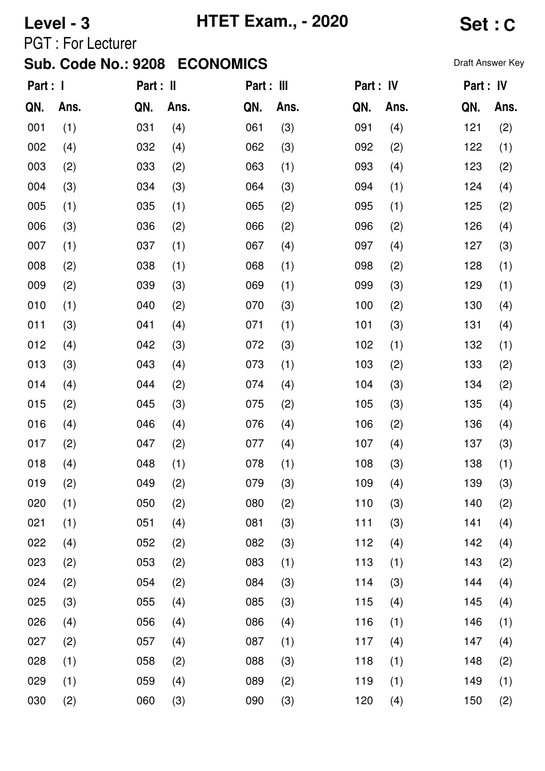## **Level - 3 HTET Exam., - 2020 Set : C**

PGT : For Lecturer

| Part : I |      | Part : II |      | Part : III |      | Part : IV |      |     | Part : IV |
|----------|------|-----------|------|------------|------|-----------|------|-----|-----------|
| QN.      | Ans. | QN.       | Ans. | QN.        | Ans. | QN.       | Ans. | QN. | Ans.      |
| 001      | (1)  | 031       | (4)  | 061        | (3)  | 091       | (4)  | 121 | (2)       |
| 002      | (4)  | 032       | (4)  | 062        | (3)  | 092       | (2)  | 122 | (1)       |
| 003      | (2)  | 033       | (2)  | 063        | (1)  | 093       | (4)  | 123 | (2)       |
| 004      | (3)  | 034       | (3)  | 064        | (3)  | 094       | (1)  | 124 | (4)       |
| 005      | (1)  | 035       | (1)  | 065        | (2)  | 095       | (1)  | 125 | (2)       |
| 006      | (3)  | 036       | (2)  | 066        | (2)  | 096       | (2)  | 126 | (4)       |
| 007      | (1)  | 037       | (1)  | 067        | (4)  | 097       | (4)  | 127 | (3)       |
| 008      | (2)  | 038       | (1)  | 068        | (1)  | 098       | (2)  | 128 | (1)       |
| 009      | (2)  | 039       | (3)  | 069        | (1)  | 099       | (3)  | 129 | (1)       |
| 010      | (1)  | 040       | (2)  | 070        | (3)  | 100       | (2)  | 130 | (4)       |
| 011      | (3)  | 041       | (4)  | 071        | (1)  | 101       | (3)  | 131 | (4)       |
| 012      | (4)  | 042       | (3)  | 072        | (3)  | 102       | (1)  | 132 | (1)       |
| 013      | (3)  | 043       | (4)  | 073        | (1)  | 103       | (2)  | 133 | (2)       |
| 014      | (4)  | 044       | (2)  | 074        | (4)  | 104       | (3)  | 134 | (2)       |
| 015      | (2)  | 045       | (3)  | 075        | (2)  | 105       | (3)  | 135 | (4)       |
| 016      | (4)  | 046       | (4)  | 076        | (4)  | 106       | (2)  | 136 | (4)       |
| 017      | (2)  | 047       | (2)  | 077        | (4)  | 107       | (4)  | 137 | (3)       |
| 018      | (4)  | 048       | (1)  | 078        | (1)  | 108       | (3)  | 138 | (1)       |
| 019      | (2)  | 049       | (2)  | 079        | (3)  | 109       | (4)  | 139 | (3)       |
| 020      | (1)  | 050       | (2)  | 080        | (2)  | 110       | (3)  | 140 | (2)       |
| 021      | (1)  | 051       | (4)  | 081        | (3)  | 111       | (3)  | 141 | (4)       |
| 022      | (4)  | 052       | (2)  | 082        | (3)  | 112       | (4)  | 142 | (4)       |
| 023      | (2)  | 053       | (2)  | 083        | (1)  | 113       | (1)  | 143 | (2)       |
| 024      | (2)  | 054       | (2)  | 084        | (3)  | 114       | (3)  | 144 | (4)       |
| 025      | (3)  | 055       | (4)  | 085        | (3)  | 115       | (4)  | 145 | (4)       |
| 026      | (4)  | 056       | (4)  | 086        | (4)  | 116       | (1)  | 146 | (1)       |
| 027      | (2)  | 057       | (4)  | 087        | (1)  | 117       | (4)  | 147 | (4)       |
| 028      | (1)  | 058       | (2)  | 088        | (3)  | 118       | (1)  | 148 | (2)       |
| 029      | (1)  | 059       | (4)  | 089        | (2)  | 119       | (1)  | 149 | (1)       |
| 030      | (2)  | 060       | (3)  | 090        | (3)  | 120       | (4)  | 150 | (2)       |